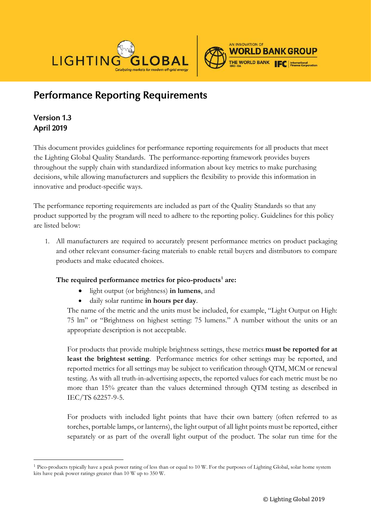



# Performance Reporting Requirements

# Version 1.3 April 2019

This document provides guidelines for performance reporting requirements for all products that meet the Lighting Global Quality Standards. The performance-reporting framework provides buyers throughout the supply chain with standardized information about key metrics to make purchasing decisions, while allowing manufacturers and suppliers the flexibility to provide this information in innovative and product-specific ways.

The performance reporting requirements are included as part of the Quality Standards so that any product supported by the program will need to adhere to the reporting policy. Guidelines for this policy are listed below:

1. All manufacturers are required to accurately present performance metrics on product packaging and other relevant consumer-facing materials to enable retail buyers and distributors to compare products and make educated choices.

### **The required performance metrics for pico-products[1](#page-0-0) are:**

- light output (or brightness) **in lumens**, and
- daily solar runtime **in hours per day**.

The name of the metric and the units must be included, for example, "Light Output on High: 75 lm" or "Brightness on highest setting: 75 lumens." A number without the units or an appropriate description is not acceptable.

For products that provide multiple brightness settings, these metrics **must be reported for at least the brightest setting**. Performance metrics for other settings may be reported, and reported metrics for all settings may be subject to verification through QTM, MCM or renewal testing. As with all truth-in-advertising aspects, the reported values for each metric must be no more than 15% greater than the values determined through QTM testing as described in IEC/TS 62257-9-5.

For products with included light points that have their own battery (often referred to as torches, portable lamps, or lanterns), the light output of all light points must be reported, either separately or as part of the overall light output of the product. The solar run time for the

<span id="page-0-0"></span> <sup>1</sup> Pico-products typically have a peak power rating of less than or equal to 10 W. For the purposes of Lighting Global, solar home system kits have peak power ratings greater than 10 W up to 350 W.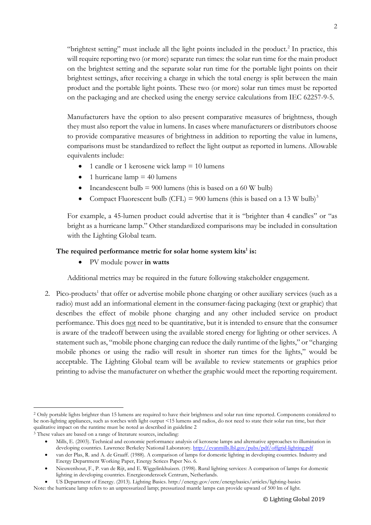"brightest setting" must include all the light points included in the product. $2 \text{ In practice, this}$  $2 \text{ In practice, this}$ will require reporting two (or more) separate run times: the solar run time for the main product on the brightest setting and the separate solar run time for the portable light points on their brightest settings, after receiving a charge in which the total energy is split between the main product and the portable light points. These two (or more) solar run times must be reported on the packaging and are checked using the energy service calculations from IEC 62257-9-5.

Manufacturers have the option to also present comparative measures of brightness, though they must also report the value in lumens. In cases where manufacturers or distributors choose to provide comparative measures of brightness in addition to reporting the value in lumens, comparisons must be standardized to reflect the light output as reported in lumens. Allowable equivalents include:

- 1 candle or 1 kerosene wick lamp  $= 10$  lumens
- 1 hurricane lamp  $=$  40 lumens
- Incandescent bulb  $= 900$  lumens (this is based on a 60 W bulb)
- Compact Fluorescent bulb (CFL) = 900 lumens (this is based on a 1[3](#page-1-1) W bulb)<sup>3</sup>

For example, a 45-lumen product could advertise that it is "brighter than 4 candles" or "as bright as a hurricane lamp." Other standardized comparisons may be included in consultation with the Lighting Global team.

#### The required performance metric for solar home system kits<sup>1</sup> is:

• PV module power **in watts**

Additional metrics may be required in the future following stakeholder engagement.

2. Pico-products<sup>1</sup> that offer or advertise mobile phone charging or other auxiliary services (such as a radio) must add an informational element in the consumer-facing packaging (text or graphic) that describes the effect of mobile phone charging and any other included service on product performance. This does not need to be quantitative, but it is intended to ensure that the consumer is aware of the tradeoff between using the available stored energy for lighting or other services. A statement such as, "mobile phone charging can reduce the daily runtime of the lights," or "charging mobile phones or using the radio will result in shorter run times for the lights," would be acceptable. The Lighting Global team will be available to review statements or graphics prior printing to advise the manufacturer on whether the graphic would meet the reporting requirement.

<span id="page-1-0"></span><sup>&</sup>lt;sup>2</sup> Only portable lights brighter than 15 lumens are required to have their brightness and solar run time reported. Components considered to be non-lighting appliances, such as torches with light output <15 lumens and radios, do not need to state their solar run time, but their qualitative impact on the runtime must be noted as described in guideline 2

<span id="page-1-1"></span><sup>3</sup> These values are based on a range of literature sources, including:

<sup>•</sup> Mills, E. (2003). Technical and economic performance analysis of kerosene lamps and alternative approaches to illumination in developing countries. Lawrence Berkeley National Laboratory.<http://evanmills.lbl.gov/pubs/pdf/offgrid-lighting.pdf>

<sup>•</sup> van der Plas, R. and A. de Graaff. (1988). A comparison of lamps for domestic lighting in developing countries. Industry and Energy Department Working Paper, Energy Serices Paper No. 6.

<sup>•</sup> Nieuwenhout, F., P. van de Rijt, and E. Wiggelinkhuizen. (1998). Rural lighting services: A comparison of lamps for domestic lighting in developing countries. Energieonderzoek Centrum, Netherlands.

<sup>•</sup> US Department of Energy. (2013). Lighting Basics. http://energy.gov/eere/energybasics/articles/lighting-basics

Note: the hurricane lamp refers to an unpressurized lamp; pressurized mantle lamps can provide upward of 500 lm of light.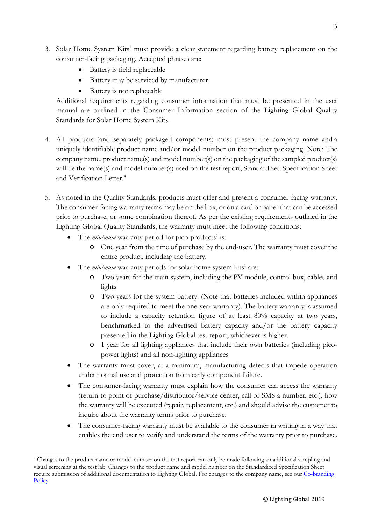- 3. Solar Home System Kits<sup>1</sup> must provide a clear statement regarding battery replacement on the consumer-facing packaging. Accepted phrases are:
	- Battery is field replaceable
	- Battery may be serviced by manufacturer
	- Battery is not replaceable

Additional requirements regarding consumer information that must be presented in the user manual are outlined in the Consumer Information section of the Lighting Global Quality Standards for Solar Home System Kits.

- 4. All products (and separately packaged components) must present the company name and a uniquely identifiable product name and/or model number on the product packaging. Note: The company name, product name(s) and model number(s) on the packaging of the sampled product(s) will be the name(s) and model number(s) used on the test report, Standardized Specification Sheet and Verification Letter.<sup>[4](#page-2-0)</sup>
- 5. As noted in the Quality Standards, products must offer and present a consumer-facing warranty. The consumer-facing warranty terms may be on the box, or on a card or paper that can be accessed prior to purchase, or some combination thereof. As per the existing requirements outlined in the Lighting Global Quality Standards, the warranty must meet the following conditions:
	- The *minimum* warranty period for pico-products<sup>1</sup> is:
		- o One year from the time of purchase by the end-user. The warranty must cover the entire product, including the battery.
	- The *minimum* warranty periods for solar home system kits<sup>1</sup> are:
		- o Two years for the main system, including the PV module, control box, cables and lights
		- o Two years for the system battery. (Note that batteries included within appliances are only required to meet the one-year warranty). The battery warranty is assumed to include a capacity retention figure of at least 80% capacity at two years, benchmarked to the advertised battery capacity and/or the battery capacity presented in the Lighting Global test report, whichever is higher.
		- o 1 year for all lighting appliances that include their own batteries (including picopower lights) and all non-lighting appliances
	- The warranty must cover, at a minimum, manufacturing defects that impede operation under normal use and protection from early component failure.
	- The consumer-facing warranty must explain how the consumer can access the warranty (return to point of purchase/distributor/service center, call or SMS a number, etc.), how the warranty will be executed (repair, replacement, etc.) and should advise the customer to inquire about the warranty terms prior to purchase.
	- The consumer-facing warranty must be available to the consumer in writing in a way that enables the end user to verify and understand the terms of the warranty prior to purchase.

<span id="page-2-0"></span> <sup>4</sup> Changes to the product name or model number on the test report can only be made following an additional sampling and visual screening at the test lab. Changes to the product name and model number on the Standardized Specification Sheet require submission of additional documentation to Lighting Global. For changes to the company name, see our [Co-branding](https://www.lightingglobal.org/resource/co-branding-policy/)  [Policy.](https://www.lightingglobal.org/resource/co-branding-policy/)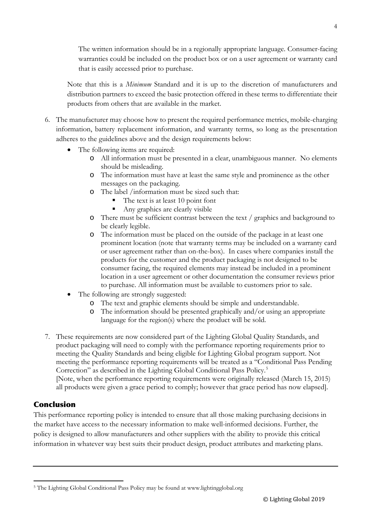The written information should be in a regionally appropriate language. Consumer-facing warranties could be included on the product box or on a user agreement or warranty card that is easily accessed prior to purchase.

Note that this is a *Minimum* Standard and it is up to the discretion of manufacturers and distribution partners to exceed the basic protection offered in these terms to differentiate their products from others that are available in the market.

- 6. The manufacturer may choose how to present the required performance metrics, mobile-charging information, battery replacement information, and warranty terms, so long as the presentation adheres to the guidelines above and the design requirements below:
	- The following items are required:
		- o All information must be presented in a clear, unambiguous manner. No elements should be misleading.
		- o The information must have at least the same style and prominence as the other messages on the packaging.
		- o The label /information must be sized such that:
			- The text is at least 10 point font
			- Any graphics are clearly visible
		- o There must be sufficient contrast between the text / graphics and background to be clearly legible.
		- o The information must be placed on the outside of the package in at least one prominent location (note that warranty terms may be included on a warranty card or user agreement rather than on-the-box). In cases where companies install the products for the customer and the product packaging is not designed to be consumer facing, the required elements may instead be included in a prominent location in a user agreement or other documentation the consumer reviews prior to purchase. All information must be available to customers prior to sale.
	- The following are strongly suggested:
		- o The text and graphic elements should be simple and understandable.
			- o The information should be presented graphically and/or using an appropriate language for the region(s) where the product will be sold.
- 7. These requirements are now considered part of the Lighting Global Quality Standards, and product packaging will need to comply with the performance reporting requirements prior to meeting the Quality Standards and being eligible for Lighting Global program support. Not meeting the performance reporting requirements will be treated as a "Conditional Pass Pending Correction" as described in the Lighting Global Conditional Pass Policy.<sup>[5](#page-3-0)</sup> [Note, when the performance reporting requirements were originally released (March 15, 2015) all products were given a grace period to comply; however that grace period has now elapsed].

## Conclusion

This performance reporting policy is intended to ensure that all those making purchasing decisions in the market have access to the necessary information to make well-informed decisions. Further, the policy is designed to allow manufacturers and other suppliers with the ability to provide this critical information in whatever way best suits their product design, product attributes and marketing plans.

<span id="page-3-0"></span> <sup>5</sup> The Lighting Global Conditional Pass Policy may be found at www.lightingglobal.org